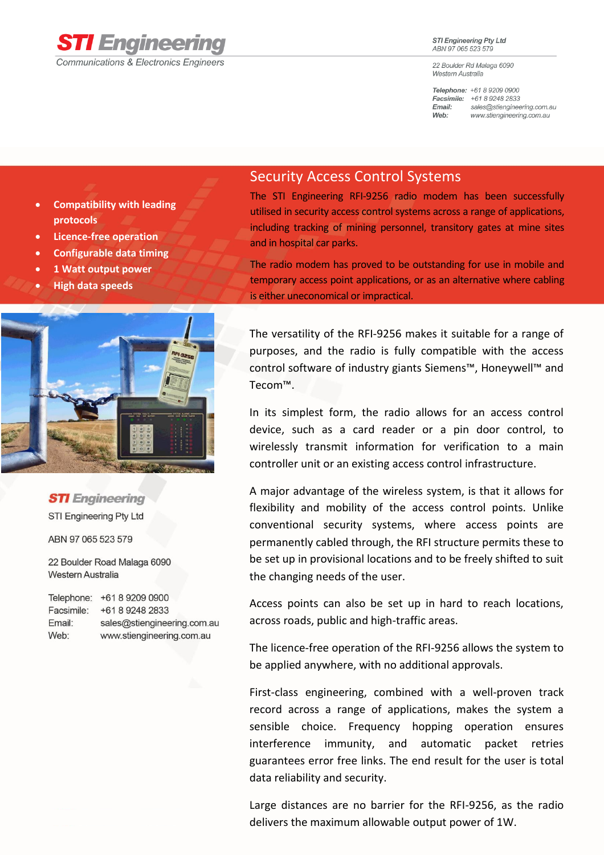

## **STI Engineering Pty Ltd** ABN 97 065 523 579

22 Boulder Rd Malaga 6090 Western Australia

Telephone: +61 8 9209 0900 Facsimile: +61 8 9248 2833 sales@stiengineering.com.au Email: Web: www.stiengineering.com.au

- **Compatibility with leading protocols**
- **Licence-free operation**
- **Configurable data timing**
- **1 Watt output power**
- **High data speeds**



**STI** Engineering STI Engineering Pty Ltd

ABN 97 065 523 579

22 Boulder Road Malaga 6090 Western Australia

|            | Telephone: +61 8 9209 0900  |
|------------|-----------------------------|
| Facsimile: | +61892482833                |
| Email:     | sales@stiengineering.com.au |
| Web:       | www.stiengineering.com.au   |

## Security Access Control Systems

The STI Engineering RFI-9256 radio modem has been successfully utilised in security access control systems across a range of applications, including tracking of mining personnel, transitory gates at mine sites and in hospital car parks.

The radio modem has proved to be outstanding for use in mobile and temporary access point applications, or as an alternative where cabling is either uneconomical or impractical.

The versatility of the RFI-9256 makes it suitable for a range of purposes, and the radio is fully compatible with the access control software of industry giants Siemens™, Honeywell™ and Tecom™.

In its simplest form, the radio allows for an access control device, such as a card reader or a pin door control, to wirelessly transmit information for verification to a main controller unit or an existing access control infrastructure.

A major advantage of the wireless system, is that it allows for flexibility and mobility of the access control points. Unlike conventional security systems, where access points are permanently cabled through, the RFI structure permits these to be set up in provisional locations and to be freely shifted to suit the changing needs of the user.

Access points can also be set up in hard to reach locations, across roads, public and high-traffic areas.

The licence-free operation of the RFI-9256 allows the system to be applied anywhere, with no additional approvals.

First-class engineering, combined with a well-proven track record across a range of applications, makes the system a sensible choice. Frequency hopping operation ensures interference immunity, and automatic packet retries guarantees error free links. The end result for the user is total data reliability and security.

Large distances are no barrier for the RFI-9256, as the radio delivers the maximum allowable output power of 1W.